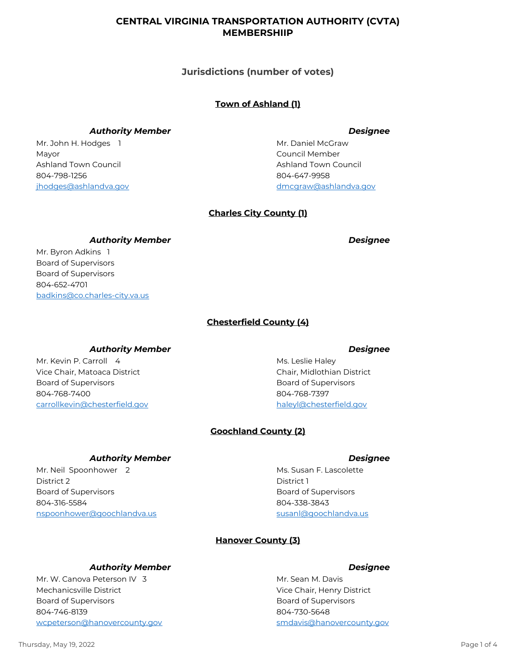## **CENTRAL VIRGINIA TRANSPORTATION AUTHORITY (CVTA) MEMBERSHIIP**

**Jurisdictions (number of votes)**

# **Town of Ashland (1)**

## *Authority Member Designee*

Mr. John H. Hodges 1 Mayor 804-798-1256 jhodges@ashlandva.gov Ashland Town Council

Mr. Daniel McGraw Council Member 804-647-9958 dmcgraw@ashlandva.gov Ashland Town Council

# **Charles City County (1)**

### *Authority Member Designee*

Mr. Byron Adkins 1 Board of Supervisors 804-652-4701 badkins@co.charles-city.va.us Board of Supervisors

# **Chesterfield County (4)**

### *Authority Member Designee*

Mr. Kevin P. Carroll 4 Vice Chair, Matoaca District 804-768-7400 carrollkevin@chesterfield.gov Board of Supervisors

Ms. Leslie Haley Chair, Midlothian District 804-768-7397 haleyl@chesterfield.gov Board of Supervisors

# **Goochland County (2)**

### *Authority Member Designee*

Mr. Neil Spoonhower 2 District 2 804-316-5584 nspoonhower@goochlandva.us Board of Supervisors

Ms. Susan F. Lascolette District 1 804-338-3843 susanl@goochlandva.us Board of Supervisors

# **Hanover County (3)**

# *Authority Member Designee*

Mr. W. Canova Peterson IV 3 Mechanicsville District 804-746-8139 wcpeterson@hanovercounty.gov Board of Supervisors

Mr. Sean M. Davis Vice Chair, Henry District 804-730-5648 smdavis@hanovercounty.gov Board of Supervisors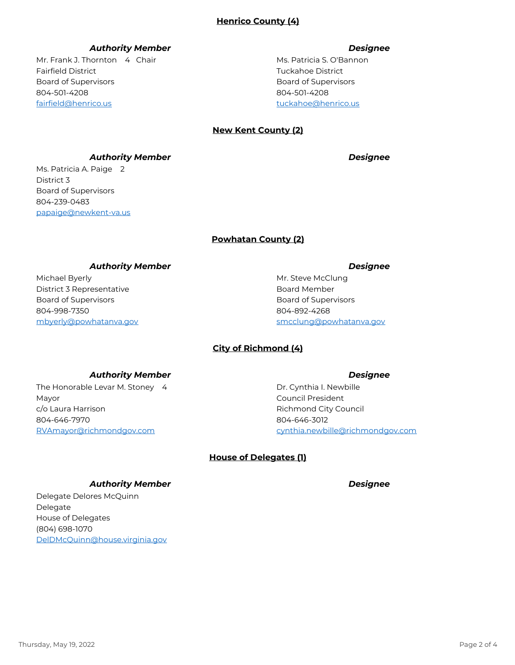## *Authority Member Designee*

Mr. Frank J. Thornton 4 Chair Fairfield District 804-501-4208 fairfield@henrico.us Board of Supervisors

Ms. Patricia S. O'Bannon Tuckahoe District 804-501-4208 tuckahoe@henrico.us Board of Supervisors

## **New Kent County (2)**

*Authority Member Designee*

Ms. Patricia A. Paige 2

District 3 804-239-0483 papaige@newkent-va.us Board of Supervisors

### **Powhatan County (2)**

### *Authority Member Designee*

Michael Byerly District 3 Representative 804-998-7350 mbyerly@powhatanva.gov Board of Supervisors

Mr. Steve McClung Board Member 804-892-4268 smcclung@powhatanva.gov Board of Supervisors

# **City of Richmond (4)**

### *Authority Member Designee*

The Honorable Levar M. Stoney 4 Mayor 804-646-7970 RVAmayor@richmondgov.com c/o Laura Harrison

Dr. Cynthia I. Newbille Council President 804-646-3012 cynthia.newbille@richmondgov.com Richmond City Council

**House of Delegates (1)**

### *Authority Member Designee*

Delegate Delores McQuinn Delegate (804) 698-1070 DelDMcQuinn@house.virginia.gov House of Delegates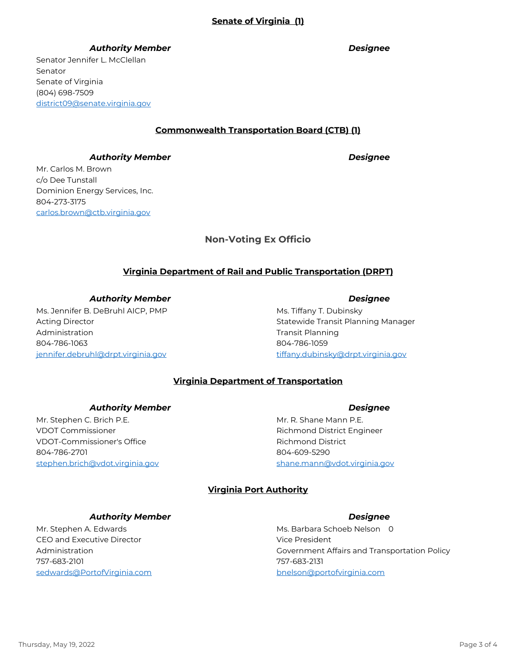# **Senate of Virginia (1)**

### *Authority Member Designee*

Senator Jennifer L. McClellan Senator (804) 698-7509 district09@senate.virginia.gov Senate of Virginia

### **Commonwealth Transportation Board (CTB) (1)**

### *Authority Member Designee*

Mr. Carlos M. Brown c/o Dee Tunstall 804-273-3175 carlos.brown@ctb.virginia.gov Dominion Energy Services, Inc.

# **Non-Voting Ex Officio**

## **Virginia Department of Rail and Public Transportation (DRPT)**

*Authority Member Designee*

Ms. Jennifer B. DeBruhl AICP, PMP Acting Director 804-786-1063 jennifer.debruhl@drpt.virginia.gov Administration

Ms. Tiffany T. Dubinsky Statewide Transit Planning Manager 804-786-1059 tiffany.dubinsky@drpt.virginia.gov Transit Planning

## **Virginia Department of Transportation**

### *Authority Member Designee*

Mr. Stephen C. Brich P.E. VDOT Commissioner 804-786-2701 stephen.brich@vdot.virginia.gov VDOT-Commissioner's Office

Mr. R. Shane Mann P.E. Richmond District Engineer 804-609-5290 shane.mann@vdot.virginia.gov Richmond District

### **Virginia Port Authority**

### *Authority Member Designee*

Mr. Stephen A. Edwards CEO and Executive Director 757-683-2101 sedwards@PortofVirginia.com Administration

Ms. Barbara Schoeb Nelson 0 Vice President 757-683-2131 bnelson@portofvirginia.com Government Affairs and Transportation Policy